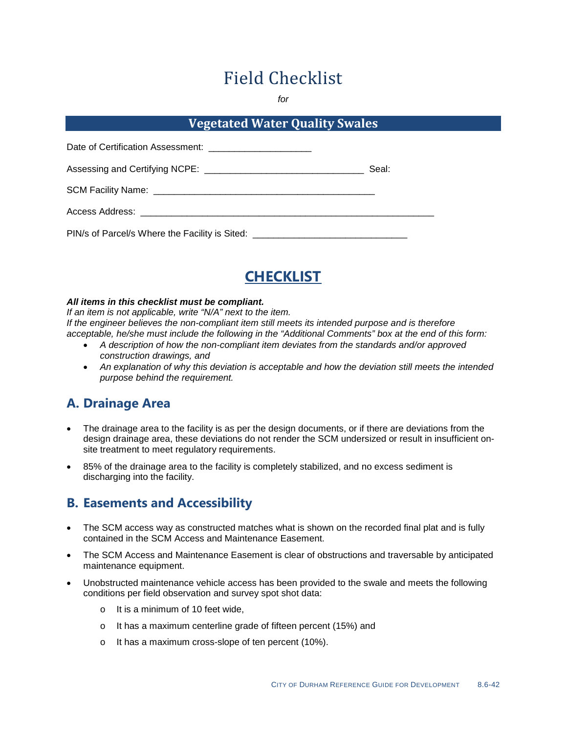# Field Checklist

*for*

### **Vegetated Water Quality Swales**

| Date of Certification Assessment: __________________________                     |       |
|----------------------------------------------------------------------------------|-------|
|                                                                                  | Seal: |
|                                                                                  |       |
| Access Address: ______________________________                                   |       |
| PIN/s of Parcel/s Where the Facility is Sited: _________________________________ |       |



#### *All items in this checklist must be compliant.*

*If an item is not applicable, write "N/A" next to the item. If the engineer believes the non-compliant item still meets its intended purpose and is therefore acceptable, he/she must include the following in the "Additional Comments" box at the end of this form:*

- *A description of how the non-compliant item deviates from the standards and/or approved construction drawings, and*
- *An explanation of why this deviation is acceptable and how the deviation still meets the intended purpose behind the requirement.*

# **A. Drainage Area**

- The drainage area to the facility is as per the design documents, or if there are deviations from the design drainage area, these deviations do not render the SCM undersized or result in insufficient onsite treatment to meet regulatory requirements.
- 85% of the drainage area to the facility is completely stabilized, and no excess sediment is discharging into the facility.

#### **B. Easements and Accessibility**

- The SCM access way as constructed matches what is shown on the recorded final plat and is fully contained in the SCM Access and Maintenance Easement.
- The SCM Access and Maintenance Easement is clear of obstructions and traversable by anticipated maintenance equipment.
- Unobstructed maintenance vehicle access has been provided to the swale and meets the following conditions per field observation and survey spot shot data:
	- o It is a minimum of 10 feet wide,
	- o It has a maximum centerline grade of fifteen percent (15%) and
	- o It has a maximum cross-slope of ten percent (10%).